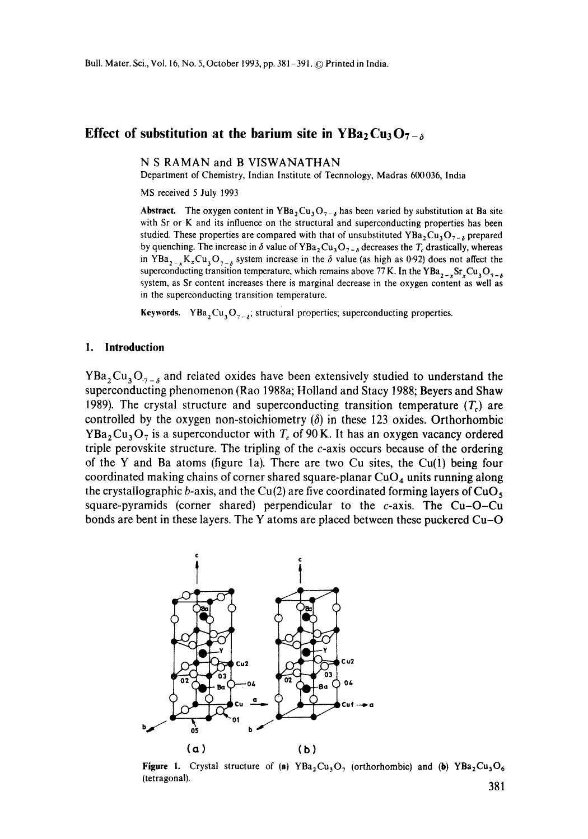## **Effect of substitution at the barium site in YBa<sub>2</sub> Cu<sub>3</sub> O<sub>7-** $\delta$ **</sub>**

**N S RAMAN and B** VISWANATHAN

Department of Chemistry, Indian Institute of Tecnnology, Madras 600036, India

MS received 5 July 1993

**Abstract.** The oxygen content in YBa<sub>2</sub>Cu<sub>3</sub>O<sub>7-6</sub> has been varied by substitution at Ba site with Sr or K and its influence on the structural and superconducting properties has been studied. These properties are compared with that of unsubstituted YBa,  $Cu<sub>3</sub>O<sub>7-x</sub>$  prepared by quenching. The increase in  $\delta$  value of YBa<sub>2</sub>Cu<sub>3</sub>O<sub>7-8</sub> decreases the T<sub>c</sub> drastically, whereas in YBa,  $K_xCu_3O_{7-x}$  system increase in the  $\delta$  value (as high as 0.92) does not affect the superconducting transition temperature, which remains above 77 K. In the YBa,  ${}_{2}$ , Sr, Cu, O<sub>7-6</sub> system, as Sr content increases there is marginal decrease in the oxygen content as well as in the superconducting transition temperature.

**Keywords.** YBa<sub>2</sub>Cu<sub>3</sub>O<sub>7-8</sub>; structural properties; superconducting properties.

#### **1. Introduction**

YBa<sub>2</sub>Cu<sub>3</sub>O<sub>7-8</sub> and related oxides have been extensively studied to understand the superconducting phenomenon (Rao 1988a; Holland and Stacy 1988; Beyers and Shaw 1989). The crystal structure and superconducting transition temperature  $(T<sub>c</sub>)$  are controlled by the oxygen non-stoichiometry  $(\delta)$  in these 123 oxides. Orthorhombic  $YBa<sub>2</sub>Cu<sub>3</sub>O<sub>7</sub>$  is a superconductor with  $T<sub>c</sub>$  of 90 K. It has an oxygen vacancy ordered triple perovskite structure. The tripling of the  $c$ -axis occurs because of the ordering of the Y and Ba atoms (figure 1a). There are two Cu sites, the Cu(1) being four coordinated making chains of corner shared square-planar  $CuO<sub>4</sub>$  units running along the crystallographic b-axis, and the Cu(2) are five coordinated forming layers of CuO<sub>5</sub> square-pyramids (corner shared) perpendicular to the  $c$ -axis. The Cu-O-Cu bonds are bent in these layers. The Y atoms are placed between these puckered Cu-O



**Figure 1.** Crystal structure of (a)  $YBa<sub>2</sub>Cu<sub>3</sub>O<sub>7</sub>$  (orthorhombic) and (b)  $YBa<sub>2</sub>Cu<sub>3</sub>O<sub>6</sub>$ (tetragonal). 201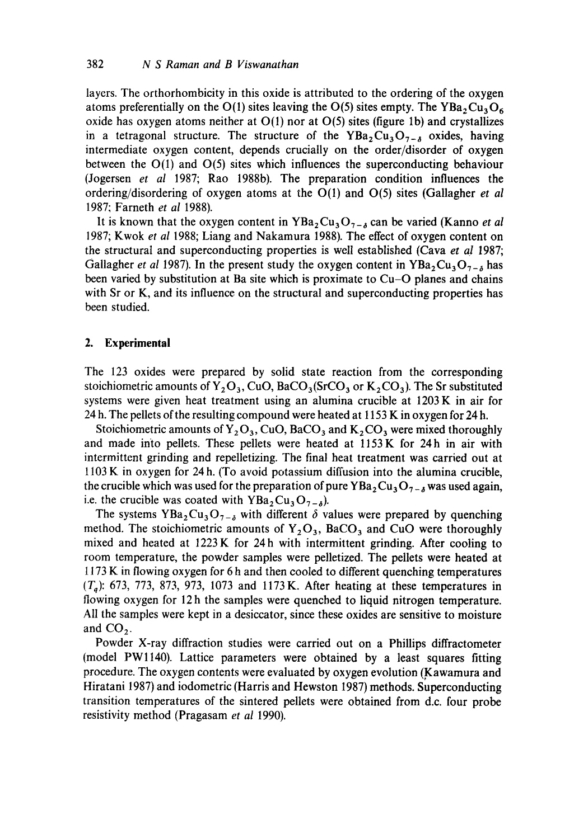layers. The orthorhombicity in this oxide is attributed to the ordering of the oxygen atoms preferentially on the O(1) sites leaving the O(5) sites empty. The YBa<sub>2</sub>Cu<sub>3</sub>O<sub>6</sub> oxide has oxygen atoms neither at  $O(1)$  nor at  $O(5)$  sites (figure 1b) and crystallizes in a tetragonal structure. The structure of the  $YBa<sub>2</sub>Cu<sub>3</sub>O<sub>7-A</sub>$  oxides, having intermediate oxygen content, depends crucially on the order/disorder of oxygen between the O(1) and 0(5) sites which influences the superconducting behaviour (Jogersen *et al* 1987; Rao 1988b). The preparation condition influences the ordering/disordering of oxygen atoms at the O(1) and 0(5) sites (Gallagher *et al*  1987; Farneth *et al* 1988).

It is known that the oxygen content in  $YBa<sub>2</sub>Cu<sub>3</sub>O<sub>7-6</sub>$  can be varied (Kanno *et al* 1987; Kwok *et al* 1988; Liang and Nakamura 1988). The effect of oxygen content on the structural and superconducting properties is well established (Cava *et al* 1987; Gallagher *et al* 1987). In the present study the oxygen content in  $YBa_2Cu_3O_{7-\delta}$  has been varied by substitution at Ba site which is proximate to Cu-O planes and chains with Sr or K, and its influence on the structural and superconducting properties has been studied.

### **2. Experimental**

The 123 oxides were prepared by solid state reaction from the corresponding stoichiometric amounts of  $Y_2O_3$ , CuO, BaCO<sub>3</sub>(SrCO<sub>3</sub> or K<sub>2</sub>CO<sub>3</sub>). The Sr substituted systems were given heat treatment using an alumina crucible at 1203 K in air for 24 h. The pellets of the resulting compound were heated at 1153 K in oxygen for 24 h.

Stoichiometric amounts of  $Y_2O_3$ , CuO, BaCO<sub>3</sub> and K<sub>2</sub> CO<sub>3</sub> were mixed thoroughly and made into pellets. These pellets were heated at 1153 K for 24h in air with intermittent grinding and repelletizing. Tbe final heat treatment was carried out at 1103 K in oxygen for 24 h. (To avoid potassium diffusion into the alumina crucible, the crucible which was used for the preparation of pure  $YBa<sub>2</sub>Cu<sub>3</sub>O<sub>7-δ</sub>$  was used again, i.e. the crucible was coated with  $YBa<sub>2</sub>Cu<sub>3</sub>O<sub>7-\delta</sub>$ ).

The systems  $YBa_2Cu_3O_{7-\delta}$  with different  $\delta$  values were prepared by quenching method. The stoichiometric amounts of  $Y_2O_3$ , BaCO<sub>3</sub> and CuO were thoroughly mixed and heated at 1223K for 24h with intermittent grinding. After cooling to room temperature, the powder samples were pelletized. The pellets were heated at 1173 K in flowing oxygen for 6 h and then cooled to different quenching temperatures  $(T_a)$ : 673, 773, 873, 973, 1073 and 1173 K. After heating at these temperatures in flowing oxygen for 12h the samples were quenched to liquid nitrogen temperature. All the samples were kept in a desiccator, since these oxides are sensitive to moisture and  $CO<sub>2</sub>$ .

Powder X-ray diffraction studies were carried out on a Phillips diffractometer (model PWlI40). Lattice parameters were obtained by a least squares fitting procedure. The oxygen contents were evaluated by oxygen evolution (Kawamura and Hiratani 1987) and iodometric (Harris and Hewston 1987) methods. Superconducting transition temperatures of the sintered pellets were obtained from d.c. four probe resistivity method (Pragasam *et al* 1990).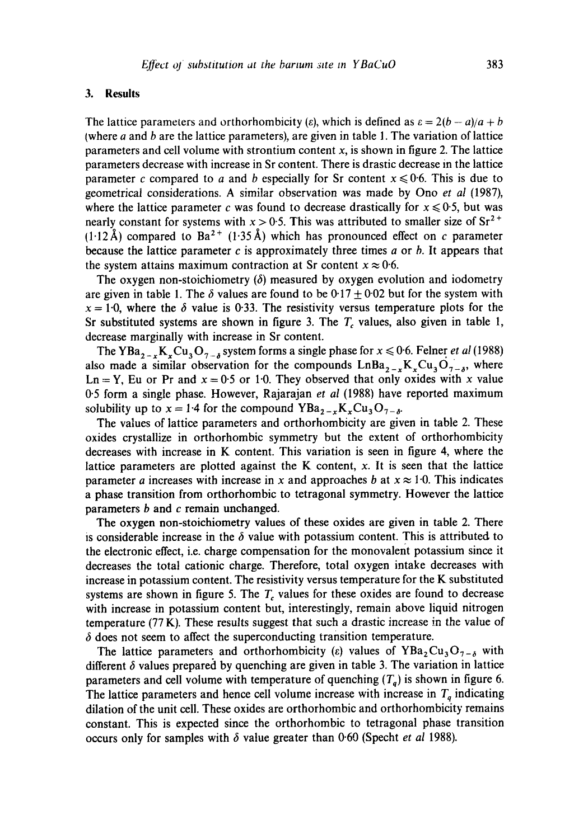## **3. Results**

The lattice parameters and orthorhombicity ( $\varepsilon$ ), which is defined as  $\varepsilon = 2(b - a)/a + b$ (where  $a$  and  $b$  are the lattice parameters), are given in table 1. The variation of lattice parameters and cell volume with strontium content  $x$ , is shown in figure 2. The lattice parameters decrease with increase in Sr content. There is drastic decrease in the lattice parameter c compared to a and b especially for Sr content  $x \le 0.6$ . This is due to geometrical considerations. A similar observation was made by Ono *et al* (1987), where the lattice parameter c was found to decrease drastically for  $x \le 0.5$ , but was nearly constant for systems with  $x > 0.5$ . This was attributed to smaller size of  $Sr^{2+}$  $(1.12~\text{\AA})$  compared to Ba<sup>2+</sup> (1.35 Å) which has pronounced effect on c parameter because the lattice parameter c is approximately three times  $a$  or  $b$ . It appears that the system attains maximum contraction at Sr content  $x \approx 0.6$ .

The oxygen non-stoichiometry  $(\delta)$  measured by oxygen evolution and iodometry are given in table 1. The  $\delta$  values are found to be 0.17 + 0.02 but for the system with  $x = 1.0$ , where the  $\delta$  value is 0.33. The resistivity versus temperature plots for the Sr substituted systems are shown in figure 3. The  $T_c$  values, also given in table 1, decrease marginally with increase in Sr content.

The YBa<sub>2-x</sub>K<sub>x</sub>Cu<sub>3</sub>O<sub>7-b</sub> system forms a single phase for  $x \le 0.6$ . Felner *et al* (1988) also made a similar observation for the compounds  $LnBa_{2-x}K_xCu_3O_{7-x}$ , where Ln = Y, Eu or Pr and  $x = 0.5$  or 1.0. They observed that only oxides with x value 0"5 form a single phase. However, Rajarajan *et al* (1988) have reported maximum solubility up to  $x = 1.4$  for the compound  $YBa_{2-x}K_xCu_3O_{7-\delta}$ .

The values of lattice parameters and orthorhombicity are given in table 2. These oxides crystallize in orthorhombic symmetry but the extent of orthorhombicity decreases with increase in K content. This variation is seen in figure 4, where the lattice parameters are plotted against the K content,  $x$ . It is seen that the lattice parameter a increases with increase in x and approaches b at  $x \approx 1.0$ . This indicates a phase transition from orthorhombic to tetragonal symmetry. However the lattice parameters  $b$  and  $c$  remain unchanged.

The oxygen non-stoichiometry values of these oxides are given in table 2. There is considerable increase in the  $\delta$  value with potassium content. This is attributed to the electronic effect, i.e. charge compensation for the monovalent potassium since it decreases the total cationic charge. Therefore, total oxygen intake decreases with increase in potassium content. The resistivity versus temperature for the K substituted systems are shown in figure 5. The  $T_c$  values for these oxides are found to decrease with increase in potassium content but, interestingly, remain above liquid nitrogen temperature (77 K). These results suggest that such a drastic increase in the value of  $\delta$  does not seem to affect the superconducting transition temperature.

The lattice parameters and orthorhombicity (e) values of  $YBa<sub>2</sub>Cu<sub>3</sub>O<sub>7-\delta</sub>$  with different  $\delta$  values prepared by quenching are given in table 3. The variation in lattice parameters and cell volume with temperature of quenching  $(T<sub>a</sub>)$  is shown in figure 6. The lattice parameters and hence cell volume increase with increase in  $T<sub>q</sub>$  indicating dilation of the unit cell. These oxides are orthorhombic and orthorhombicity remains constant. This is expected since the orthorhombic to tetragonal phase transition occurs only for samples with  $\delta$  value greater than 0.60 (Specht *et al* 1988).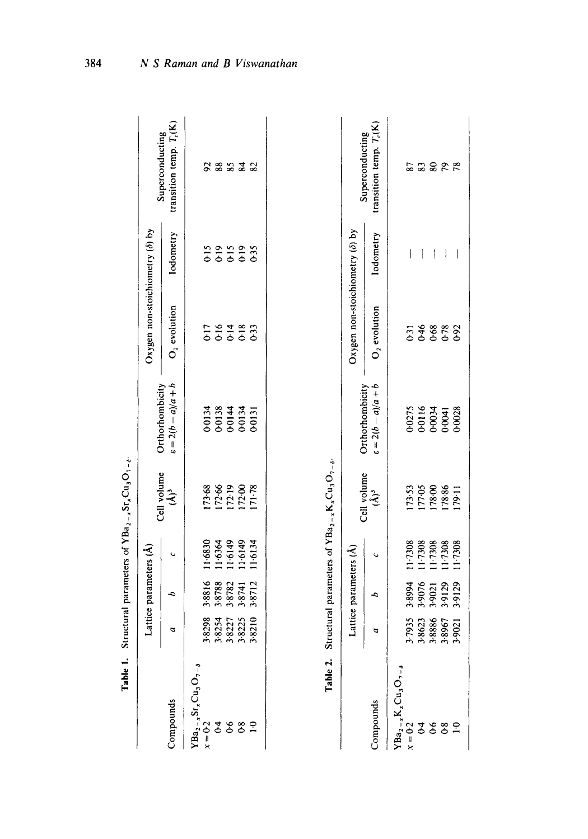| l'able 1.                                                                                                                                                       |                                           |                            |         | Situctural parameters of YBa <sub>2</sub> -xSr <sub>x</sub> Cu <sub>3</sub> O <sub>7-e</sub> |                                      |                                        |                          |                                              |
|-----------------------------------------------------------------------------------------------------------------------------------------------------------------|-------------------------------------------|----------------------------|---------|----------------------------------------------------------------------------------------------|--------------------------------------|----------------------------------------|--------------------------|----------------------------------------------|
|                                                                                                                                                                 |                                           | Lattice parameters (Å)     |         | Cell volume                                                                                  | Orthorhombicity                      | Oxygen non-stoichiometry $(\delta)$ by |                          |                                              |
| Compounds                                                                                                                                                       | a                                         | P                          | U       | $\hat{\mathbf{A}}^3$                                                                         | $a + b(a - 2a) = 3$                  | $O2$ evolution                         | Iodometry                | transition temp. $T_c(K)$<br>Superconducting |
|                                                                                                                                                                 |                                           |                            |         |                                                                                              |                                      |                                        |                          |                                              |
| $\begin{array}{l} \mathbf{Y}\mathbf{B}\mathbf{a}_{2-x}\mathbf{S}\mathbf{r}_x\mathbf{C}\mathbf{u}_3\mathbf{O}_{7-s}\\ x=0:2\\ 0:4\\ 0:6\\ 0:8\\ 0:8 \end{array}$ |                                           | 3.8816                     | 11.6830 |                                                                                              |                                      |                                        |                          | 5                                            |
|                                                                                                                                                                 |                                           | 3.8788                     | 11.6364 |                                                                                              |                                      |                                        |                          | 88                                           |
|                                                                                                                                                                 |                                           | 3.8782                     | 11.6149 |                                                                                              | 40134<br>00138<br>00144<br>00134     | 1764833                                |                          | 85                                           |
|                                                                                                                                                                 |                                           | 3.8741                     | 11.6149 |                                                                                              |                                      |                                        |                          | 84                                           |
| $\tilde{z}$                                                                                                                                                     | 38238<br>38254<br>38227<br>38225<br>38210 | 3.8712                     | 11.6134 | $\begin{array}{l} 173.68 \\ 172.66 \\ 172.19 \\ 172.00 \\ 171.78 \end{array}$                | 0-0131                               |                                        | 22223<br>2020<br>2020    | 82                                           |
|                                                                                                                                                                 |                                           | Lattice parameters $(A)$   |         | Cell volume                                                                                  | Orthorhombicity                      | Oxygen non-stoichiometry (ô) by        |                          | Superconducting                              |
| Compounds                                                                                                                                                       | a                                         | è                          | پ       | $\hat{A}^3$                                                                                  | $a = 2(b - a)/a + b$                 | $O2$ evolution                         | lodometry                | transition temp. $T_c(K)$                    |
| $YBa_{2-x}K_xCu_3O_{7-\delta}$<br>$x = 0.2$                                                                                                                     | 1935                                      | 3.8994                     | 117308  |                                                                                              |                                      |                                        |                          | 87                                           |
| 64                                                                                                                                                              |                                           |                            | 11.7308 |                                                                                              |                                      |                                        |                          | 83                                           |
|                                                                                                                                                                 | 38623<br>38886<br>38967<br>39021          | 3-9076<br>1-9021<br>3-9129 |         | 173-53<br>177-05<br>178-00<br>178-86                                                         | 0-0275<br>0-0116<br>0-0034<br>0-0038 | 5146882                                | ł                        |                                              |
| 6.8                                                                                                                                                             |                                           |                            | 11.7308 |                                                                                              |                                      |                                        | ļ                        | 8888                                         |
| $\overline{10}$                                                                                                                                                 |                                           | 3.9129                     | 117308  | [79.1]                                                                                       |                                      |                                        | $\overline{\phantom{a}}$ |                                              |

 $s_{r_s}C_{u_3}O_r$ Table 1. Structural parameters of  $YBa_{2}$ .

384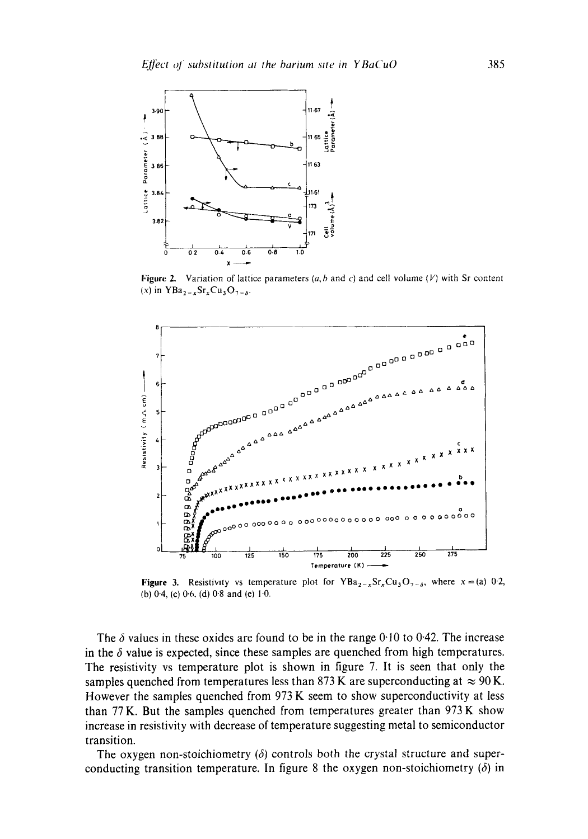

**Figure 2.** Variation of lattice parameters  $(a, b \text{ and } c)$  and cell volume  $(V)$  with Sr content  $(x)$  in  $YBa_{2-x}Sr_xCu_3O_{7-x}$ .



**Figure 3.** Resistivity vs temperature plot for  $YBa_{2-x}Sr_xCu_3O_{7-x}$ , where  $x=(a)$  02, **(b) 0.4, (e) 0.6. (d) 0.8 and (e) 1.0.** 

The  $\delta$  values in these oxides are found to be in the range  $0.10$  to  $0.42$ . The increase in the  $\delta$  value is expected, since these samples are quenched from high temperatures. **The resistivity vs temperature plot is shown in figure 7. It is seen that only the**  samples quenched from temperatures less than 873 K are superconducting at  $\approx 90$  K. **However the samples quenched from 973 K seem to show superconductivity at less than 77 K. But the samples quenched from temperatures greater than 973 K show increase in resistivity with decrease of temperature suggesting metal to semiconductor transition.** 

The oxygen non-stoichiometry  $(\delta)$  controls both the crystal structure and superconducting transition temperature. In figure 8 the oxygen non-stoichiometry  $(\delta)$  in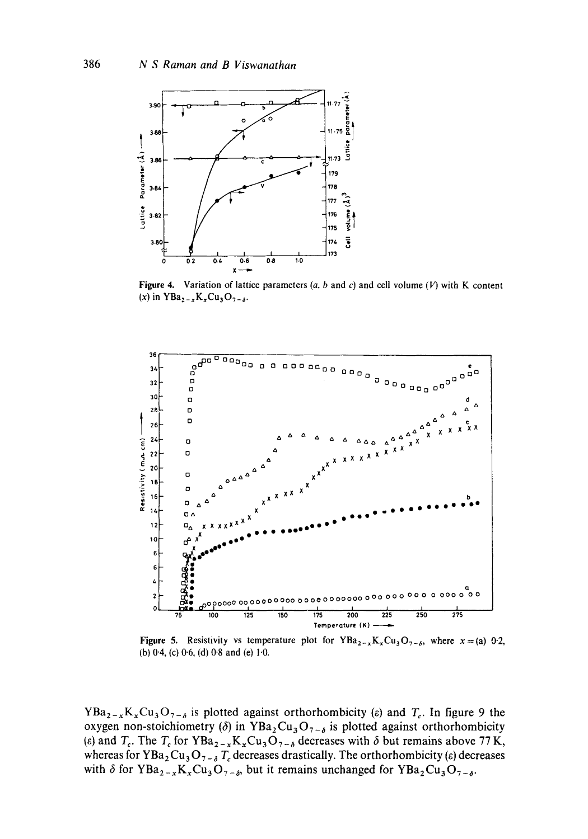

Figure 4. Variation of lattice parameters  $(a, b \text{ and } c)$  and cell volume (V) with K content (x) in  $YBa_{2-x}K_xCu_3O_{7-s}$ .



Figure 5. Resistivity vs temperature plot for  $YBa_{2-x}K_xCu_3O_{7-\delta}$ , where  $x=(a)$  0.2, (b) 0.4, (c) 0.6, (d) 0.8 and (e) 1.0.

 $YBa_{2-x}K_xCu_3O_{7-\delta}$  is plotted against orthorhombicity ( $\varepsilon$ ) and  $T_c$ . In figure 9 the oxygen non-stoichiometry ( $\delta$ ) in YBa<sub>2</sub>Cu<sub>3</sub>O<sub>7- $\delta$ </sub> is plotted against orthorhombicity (e) and  $T_c$ . The  $T_c$  for YBa<sub>2-x</sub>K<sub>x</sub>Cu<sub>3</sub>O<sub>7- $\delta$ </sub> decreases with  $\delta$  but remains above 77K, whereas for YBa<sub>2</sub>Cu<sub>3</sub>O<sub>7-8</sub>T<sub>c</sub> decreases drastically. The orthorhombicity ( $\varepsilon$ ) decreases with  $\delta$  for YBa<sub>2-x</sub>K<sub>x</sub>Cu<sub>3</sub>O<sub>7- $\delta$ </sub>, but it remains unchanged for YBa<sub>2</sub>Cu<sub>3</sub>O<sub>7- $\delta$ </sub>.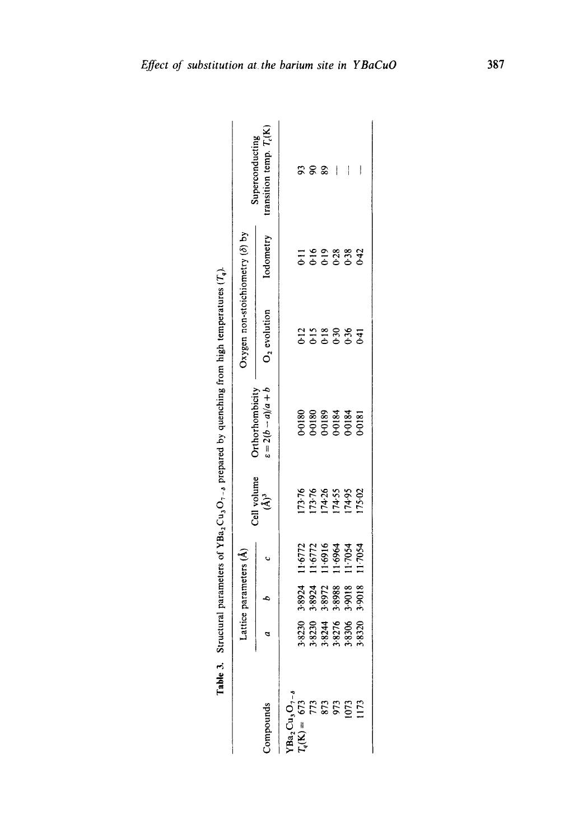| I                                                                    |
|----------------------------------------------------------------------|
|                                                                      |
| ֚֓<br>֖֖֖֖֖֖֖֖֖֖֧ׅ֖ׅ֖֖֧֪֪ׅ֖֧֪֪֪֪֪֪֪֧֪ׅ֖֚֚֚֚֚֚֚֚֚֚֚֚֚֚֚֚֚֚֚֚֚֚֚֬֝֝֓֞֝ |
|                                                                      |
| ֚֚֚֬                                                                 |
|                                                                      |
|                                                                      |
| ī                                                                    |
| I                                                                    |
| I                                                                    |
|                                                                      |
| I                                                                    |
|                                                                      |
|                                                                      |
|                                                                      |
| ׇ֘֝                                                                  |
|                                                                      |
|                                                                      |
|                                                                      |
| l                                                                    |

|                                                                                                                                                                                                                                                                                             |                                           | Lattice parameters (A)                    |                                                     |                                               | <b>Orthorhombicity</b>                    | Oxygen non-stoichiometry $(\delta)$ by |           | Superconducting          |
|---------------------------------------------------------------------------------------------------------------------------------------------------------------------------------------------------------------------------------------------------------------------------------------------|-------------------------------------------|-------------------------------------------|-----------------------------------------------------|-----------------------------------------------|-------------------------------------------|----------------------------------------|-----------|--------------------------|
| ompounds                                                                                                                                                                                                                                                                                    |                                           |                                           |                                                     | Cell volume<br>$(A)^3$                        | $d + v/(p - q)(2) = z$                    | $O2$ evolution                         | Iodometry | ransition temp. $T_c(K)$ |
|                                                                                                                                                                                                                                                                                             |                                           |                                           |                                                     |                                               |                                           |                                        |           |                          |
| $\begin{array}{l} \rm YBa_2Cu_3O_{7-\delta}\\ T_q(\rm K)=673\\ 773\\ 873\\ 973\\ 973\\ 1073\\ 1173\\ 1173\\ 1173\\ 1173\\ 1173\\ 1173\\ 1173\\ 1173\\ 1173\\ 1173\\ 1173\\ 1173\\ 1173\\ 1173\\ 1173\\ 1173\\ 1173\\ 1173\\ 1173\\ 1173\\ 1173\\ 1173\\ 1173\\ 1173\\ 1173\\ 1173\\ 1173\\$ |                                           |                                           |                                                     |                                               |                                           |                                        |           |                          |
|                                                                                                                                                                                                                                                                                             |                                           |                                           |                                                     |                                               |                                           |                                        |           | $\mathbf{S}$             |
|                                                                                                                                                                                                                                                                                             |                                           |                                           |                                                     |                                               |                                           |                                        |           | S.                       |
|                                                                                                                                                                                                                                                                                             |                                           |                                           |                                                     |                                               |                                           |                                        |           | $\mathbf{\mathbf{I}}$    |
|                                                                                                                                                                                                                                                                                             | 38230<br>38234<br>38276<br>38326<br>38326 | 38924<br>38924<br>38972<br>39888<br>39018 | 11·6772<br>11·6772<br>11·6964<br>11·7054<br>11·7054 | 73-76<br>173-76<br>174-55<br>175-20<br>175-17 | 00180<br>00180<br>00184<br>00184<br>00184 | $22887$<br>$-25887$                    |           | ļ                        |
|                                                                                                                                                                                                                                                                                             |                                           |                                           |                                                     |                                               |                                           |                                        |           |                          |
|                                                                                                                                                                                                                                                                                             |                                           |                                           |                                                     |                                               |                                           |                                        |           |                          |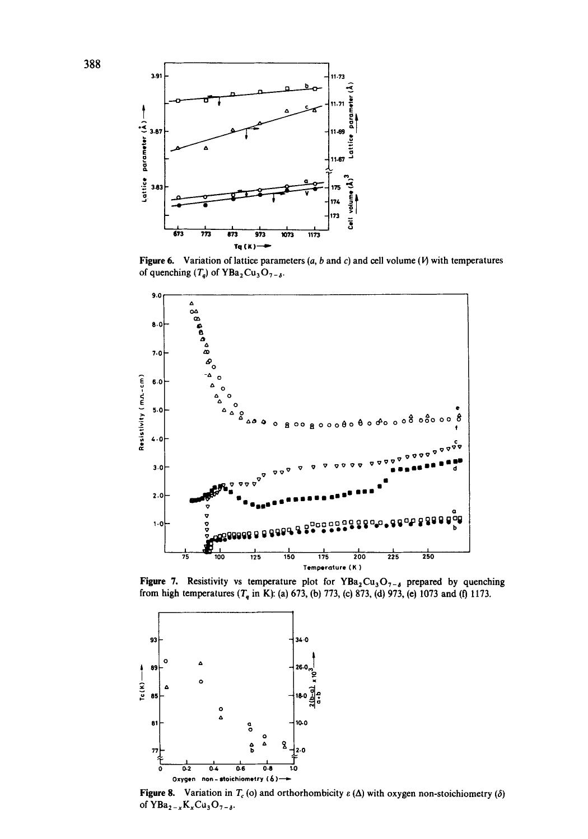

Figure 6. Variation of lattice parameters  $(a, b \text{ and } c)$  and cell volume  $(W)$  with temperatures of quenching  $(T_q)$  of YBa<sub>2</sub>Cu<sub>3</sub>O<sub>7-8</sub>.



Figure 7. Resistivity vs temperature plot for  $YBa_2Cu_3O_{7-\delta}$  prepared by quenching from high temperatures  $(T_q$  in K): (a) 673, (b) 773, (c) 873, (d) 973, (e) 1073 and (f) 1173.



Figure 8. Variation in  $T_c$  (o) and orthorhombicity  $\varepsilon(\Delta)$  with oxygen non-stoichiometry ( $\delta$ ) of  $YBa_{2-x}K_xCu_3O_{7-\delta}$ .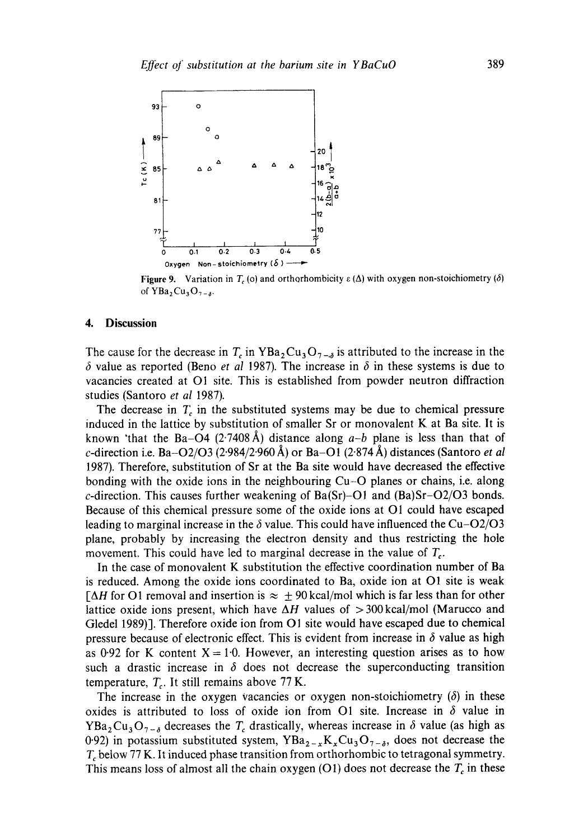

Figure 9. Variation in  $T_c$  (o) and orthorhombicity  $\varepsilon(\Delta)$  with oxygen non-stoichiometry ( $\delta$ ) of  $YBa_2Cu_3O_{7-s}$ .

### **4. Discussion**

The cause for the decrease in  $T_c$  in YBa<sub>2</sub>Cu<sub>3</sub>O<sub>7- $\delta$ </sub> is attributed to the increase in the  $\delta$  value as reported (Beno *et al 1987*). The increase in  $\delta$  in these systems is due to vacancies created at O1 site. This is established from powder neutron diffraction studies (Santoro et *al* 1987).

The decrease in  $T_c$  in the substituted systems may be due to chemical pressure induced in the lattice by substitution of smaller Sr or monovalent K at Ba site. It is known 'that the Ba-O4 (2.7408 Å) distance along  $a-b$  plane is less than that of *c*-direction i.e. Ba- $O2/O3$  (2.984/2.960 Å) or Ba-O1 (2.874 Å) distances (Santoro *et al* 1987). Therefore, substitution of Sr at the Ba site would have decreased the effective bonding with the oxide ions in the neighbouring Cu-O planes or chains, i.e. along c-direction. This causes further weakening of  $Ba(Sr)$ –O1 and  $(Ba)Sr$ –O2/O3 bonds. Because of this chemical pressure some of the oxide ions at O1 could have escaped leading to marginal increase in the  $\delta$  value. This could have influenced the Cu-O2/O3 plane, probably by increasing the electron density and thus restricting the hole movement. This could have led to marginal decrease in the value of  $T_c$ .

In the case of monovalent K substitution the effective coordination number of Ba is reduced. Among the oxide ions coordinated to Ba, oxide ion at O1 site is weak  $\lceil \Delta H \rceil$  for O1 removal and insertion is  $\approx \pm 90 \text{ kcal/mol}$  which is far less than for other lattice oxide ions present, which have  $\Delta H$  values of  $>$  300 kcal/mol (Marucco and Gledel 1989)]. Therefore oxide ion from O1 site would have escaped due to chemical pressure because of electronic effect. This is evident from increase in  $\delta$  value as high as 0.92 for K content  $X = 1.0$ . However, an interesting question arises as to how such a drastic increase in  $\delta$  does not decrease the superconducting transition temperature,  $T_c$ . It still remains above 77 K.

The increase in the oxygen vacancies or oxygen non-stoichiometry  $(\delta)$  in these oxides is attributed to loss of oxide ion from O1 site. Increase in  $\delta$  value in YBa<sub>2</sub>Cu<sub>3</sub>O<sub>7- $\delta$ </sub> decreases the T<sub>c</sub> drastically, whereas increase in  $\delta$  value (as high as 0.92) in potassium substituted system,  $YBa_{2-x}K_xCu_3O_{7-\delta}$ , does not decrease the  $T_c$  below 77 K. It induced phase transition from orthorhombic to tetragonal symmetry. This means loss of almost all the chain oxygen (O1) does not decrease the  $T_c$  in these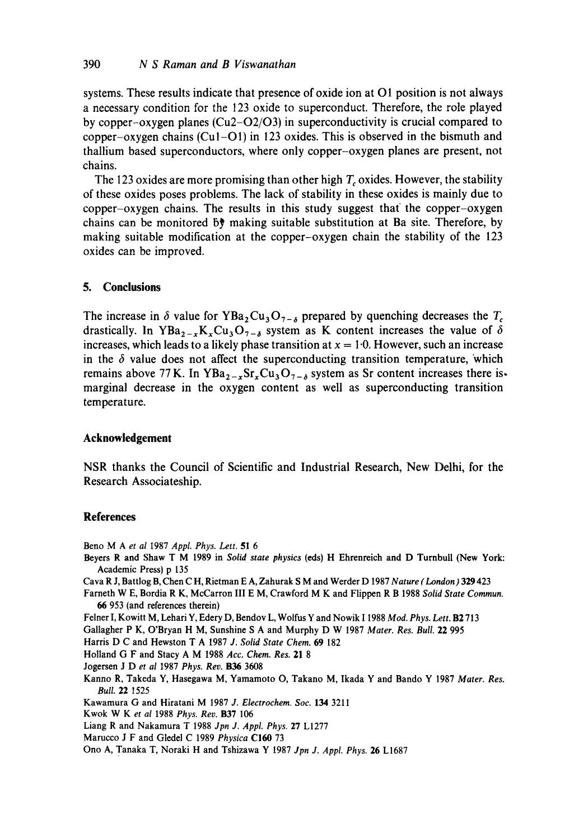systems. These results indicate that presence of oxide ion at O1 position is not always a necessary condition for the 123 oxide to superconduct. Therefore, the role played by copper-oxygen planes  $(Cu2-O2/O3)$  in superconductivity is crucial compared to copper-oxygen chains  $(Cu1-O1)$  in 123 oxides. This is observed in the bismuth and thallium based superconductors, where only copper-oxygen planes are present, not chains.

The 123 oxides are more promising than other high  $T_c$  oxides. However, the stability of these oxides poses problems. The lack of stability in these oxides is mainly due to copper-oxygen chains. The results in this study suggest that the copper-oxygen chains can be monitored  $\mathfrak{h}^*$  making suitable substitution at Ba site. Therefore, by making suitable modification at the copper-oxygen chain the stability of the 123 oxides can be improved.

# **5. Conclusions**

The increase in  $\delta$  value for YBa<sub>2</sub>Cu<sub>3</sub>O<sub>7- $\delta$ </sub> prepared by quenching decreases the T<sub>c</sub> drastically. In YBa<sub>2-x</sub>K<sub>x</sub>Cu<sub>3</sub>O<sub>7- $\delta$ </sub> system as K content increases the value of  $\delta$ increases, which leads to a likely phase transition at  $x = 1.0$ . However, such an increase in the  $\delta$  value does not affect the superconducting transition temperature, which remains above 77 K. In YBa<sub>2-x</sub>Sr<sub>x</sub>Cu<sub>3</sub>O<sub>7-6</sub> system as Sr content increases there ismarginal decrease in the oxygen content as well as superconducting transition temperature.

# **Acknowledgement**

NSR thanks the Council of Scientific and Industrial Research, New Delhi, for the Research Associateship.

## **References**

Beno M A *et al* I987 *Appl. Phys. Lett.* 51 6

- Beyers R and Shaw T M 1989 in *Solid state physics* (eds) H Ehrenreich and D Turnbull (New York: Academic Press) p 135
- Cava R J, Battlog B, Chen C H, Rietman E A, Zahurak S M and Werder D 1987 *Nature (London)* 329 423
- Farneth W E, Bordia R K, McCarron III E M, Crawford M K and Flippen R B 1988 *Solid State Commun.*  66 953 (and references therein)

Felner I, Kowitt M, Lehari Y, Edery D, Bendov L, Wolfus Y and Nowik 1 1988 *Mod. Phys. Lett.* B2 713

Gallagher P K, O'Bryan H M, Sunshine S A and Murphy D W 1987 *Mater. Res. Bull.* 22 995

Harris D C and Hewston T A 1987 *J. Solid State Chem.* 69 182

Holland G F and Stacy A M 1988 *Acc. Chem. Res. 21 8* 

Jogersen J D *et al* 1987 *Phys. Rev.* B36 3608

Kanno R, Takeda Y, Hasegawa M, Yamamoto O, Takano M, Ikada Y and Bando Y 1987 *Mater. Res. Bull.* 22 ! 525

Kawamura G and Hiratani M 1987 *J. Electrochem. Soc.* 134 3211

- Kwok W K et al 1988 Phys. Rev. B37 106
- Liang R and Nakamura T 1988 *Jpn J. Appl. Phys.* 27 L1277
- Marucco J F and Gledel C 1989 *Physica* C160 73

Ono A, Tanaka T, Noraki H and Tshizawa Y 1987 *Jpn J. Appl. Phys.* 26 L1687